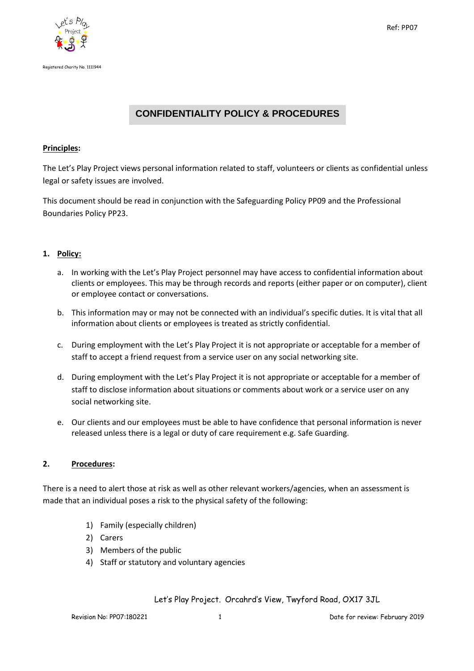



# **CONFIDENTIALITY POLICY & PROCEDURES**

# **Principles:**

The Let's Play Project views personal information related to staff, volunteers or clients as confidential unless legal or safety issues are involved.

This document should be read in conjunction with the Safeguarding Policy PP09 and the Professional Boundaries Policy PP23.

# **1. Policy:**

- a. In working with the Let's Play Project personnel may have access to confidential information about clients or employees. This may be through records and reports (either paper or on computer), client or employee contact or conversations.
- b. This information may or may not be connected with an individual's specific duties. It is vital that all information about clients or employees is treated as strictly confidential.
- c. During employment with the Let's Play Project it is not appropriate or acceptable for a member of staff to accept a friend request from a service user on any social networking site.
- d. During employment with the Let's Play Project it is not appropriate or acceptable for a member of staff to disclose information about situations or comments about work or a service user on any social networking site.
- e. Our clients and our employees must be able to have confidence that personal information is never released unless there is a legal or duty of care requirement e.g. Safe Guarding.

#### **2. Procedures:**

There is a need to alert those at risk as well as other relevant workers/agencies, when an assessment is made that an individual poses a risk to the physical safety of the following:

- 1) Family (especially children)
- 2) Carers
- 3) Members of the public
- 4) Staff or statutory and voluntary agencies

Let's Play Project. Orcahrd's View, Twyford Road, OX17 3JL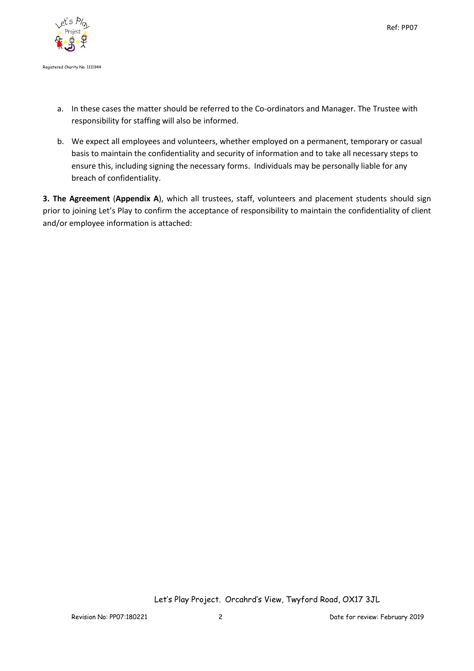

- a. In these cases the matter should be referred to the Co-ordinators and Manager. The Trustee with responsibility for staffing will also be informed.
- b. We expect all employees and volunteers, whether employed on a permanent, temporary or casual basis to maintain the confidentiality and security of information and to take all necessary steps to ensure this, including signing the necessary forms. Individuals may be personally liable for any breach of confidentiality.

**3. The Agreement** (**Appendix A**), which all trustees, staff, volunteers and placement students should sign prior to joining Let's Play to confirm the acceptance of responsibility to maintain the confidentiality of client and/or employee information is attached:

Let's Play Project. Orcahrd's View, Twyford Road, OX17 3JL